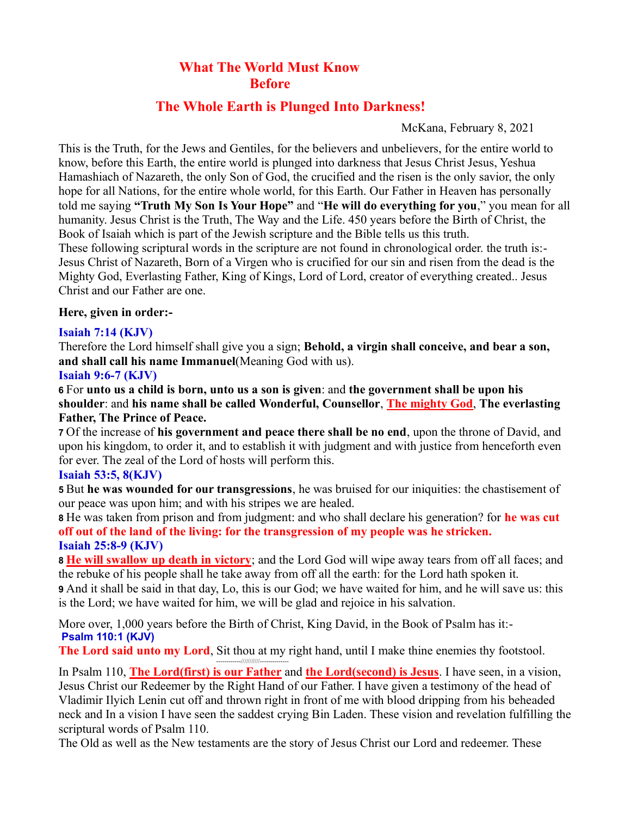# **What The World Must Know Before**

## **The Whole Earth is Plunged Into Darkness!**

McKana, February 8, 2021

This is the Truth, for the Jews and Gentiles, for the believers and unbelievers, for the entire world to know, before this Earth, the entire world is plunged into darkness that Jesus Christ Jesus, Yeshua Hamashiach of Nazareth, the only Son of God, the crucified and the risen is the only savior, the only hope for all Nations, for the entire whole world, for this Earth. Our Father in Heaven has personally told me saying **"Truth My Son Is Your Hope"** and "**He will do everything for you**," you mean for all humanity. Jesus Christ is the Truth, The Way and the Life. 450 years before the Birth of Christ, the Book of Isaiah which is part of the Jewish scripture and the Bible tells us this truth.

These following scriptural words in the scripture are not found in chronological order. the truth is:- Jesus Christ of Nazareth, Born of a Virgen who is crucified for our sin and risen from the dead is the Mighty God, Everlasting Father, King of Kings, Lord of Lord, creator of everything created.. Jesus Christ and our Father are one.

#### **Here, given in order:-**

### **Isaiah 7:14 (KJV)**

Therefore the Lord himself shall give you a sign; **Behold, a virgin shall conceive, and bear a son, and shall call his name Immanuel**(Meaning God with us).

#### **Isaiah 9:6-7 (KJV)**

**6** For **unto us a child is born, unto us a son is given**: and **the government shall be upon his shoulder**: and **his name shall be called Wonderful, Counsellor**, **The mighty God**, **The everlasting Father, The Prince of Peace.**

**7** Of the increase of **his government and peace there shall be no end**, upon the throne of David, and upon his kingdom, to order it, and to establish it with judgment and with justice from henceforth even for ever. The zeal of the Lord of hosts will perform this.

### **Isaiah 53:5, 8(KJV)**

**5** But **he was wounded for our transgressions**, he was bruised for our iniquities: the chastisement of our peace was upon him; and with his stripes we are healed.

**8** He was taken from prison and from judgment: and who shall declare his generation? for **he was cut off out of the land of the living: for the transgression of my people was he stricken. Isaiah 25:8-9 (KJV)**

**8 He will swallow up death in victory**; and the Lord God will wipe away tears from off all faces; and the rebuke of his people shall he take away from off all the earth: for the Lord hath spoken it.

**9** And it shall be said in that day, Lo, this is our God; we have waited for him, and he will save us: this is the Lord; we have waited for him, we will be glad and rejoice in his salvation.

More over, 1,000 years before the Birth of Christ, King David, in the Book of Psalm has it:- **Psalm 110:1 (KJV)**

**The Lord said unto my Lord**, Sit thou at my right hand, until I make thine enemies thy footstool. The Lord sald allowing Lord, Sit thou at my

In Psalm 110, **The Lord(first) is our Father** and **the Lord(second) is Jesus**. I have seen, in a vision, Jesus Christ our Redeemer by the Right Hand of our Father. I have given a testimony of the head of Vladimir Ilyich Lenin cut off and thrown right in front of me with blood dripping from his beheaded neck and In a vision I have seen the saddest crying Bin Laden. These vision and revelation fulfilling the scriptural words of Psalm 110.

The Old as well as the New testaments are the story of Jesus Christ our Lord and redeemer. These